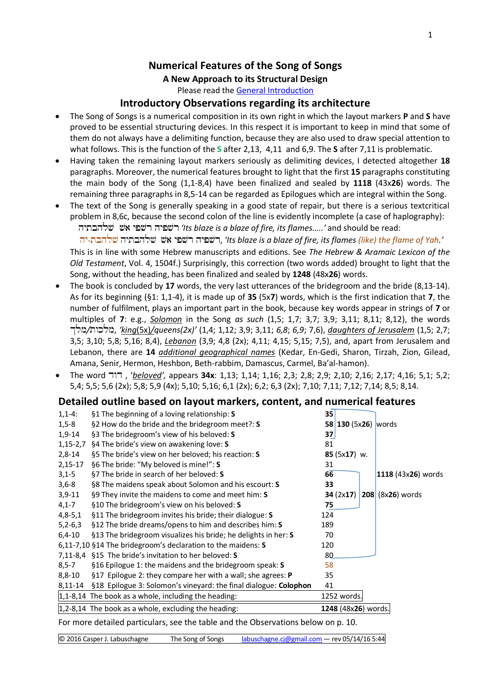## **Numerical Features of the Song of Songs**

## **A New Approach to its Structural Design**

Please read the [General Introduction](http://www.labuschagne.nl/aspects.pdf)

## **Introductory Observations regarding its architecture**

- The Song of Songs is a numerical composition in its own right in which the layout markers **P** and **S** have proved to be essential structuring devices. In this respect it is important to keep in mind that some of them do not always have a delimiting function, because they are also used to draw special attention to what follows. This is the function of the **S** after 2,13, 4,11 and 6,9. The **S** after 7,11 is problematic.
- Having taken the remaining layout markers seriously as delimiting devices, I detected altogether **18** paragraphs. Moreover, the numerical features brought to light that the first **15** paragraphs constituting the main body of the Song (1,1-8,4) have been finalized and sealed by **1118** (43x**26**) words. The remaining three paragraphs in 8,5-14 can be regarded as Epilogues which are integral within the Song.
- The text of the Song is generally speaking in a good state of repair, but there is a serious textcritical problem in 8,6c, because the second colon of the line is evidently incomplete (a case of haplography): *'Its blaze is a blaze of fire, its flames…..'* and should be read:

 hy-tbhlS hytbhlS , *'Its blaze is a blaze of fire, its flames (like) the flame of Yah.'* This is in line with some Hebrew manuscripts and editions. See *The Hebrew & Aramaic Lexicon of the Old Testament*, Vol. 4, 1504f.) Surprisingly, this correction (two words added) brought to light that the Song, without the heading, has been finalized and sealed by **1248** (48x**26**) words.

- The book is concluded by **17** words, the very last utterances of the bridegroom and the bride (8,13-14). As for its beginning (§1: 1,1-4), it is made up of **35** (5x**7**) words, which is the first indication that **7**, the number of fulfilment, plays an important part in the book, because key words appear in strings of **7** or multiples of **7**: e.g., *Solomon* in the Song *as such* (1,5; 1,7; 3,7; 3,9; 3,11; 8,11; 8,12), the words Klm*/*twklm, *'king*(5x)*/queens(2x)'* (1,4; 1,12; 3,9; 3,11; *6,8*; *6,9*; 7,6), *daughters of Jerusalem* (1,5; 2,7; 3,5; 3,10; 5,8; 5,16; 8,4), *Lebanon* (3,9; 4,8 (2x); 4,11; 4,15; 5,15; 7,5), and, apart from Jerusalem and Lebanon, there are **14** *additional geographical names* (Kedar, En-Gedi, Sharon, Tirzah, Zion, Gilead, Amana, Senir, Hermon, Heshbon, Beth-rabbim, Damascus, Carmel, Ba'al-hamon).
- The word dwd , '*beloved',* appears **34x**: 1,13; 1,14; 1,16; 2,3; 2,8; 2,9; 2,10; 2,16; 2,17; 4,16; 5,1; 5,2; 5,4; 5,5; 5,6 (2x); 5,8; 5,9 (4x); 5,10; 5,16; 6,1 (2x); 6,2; 6,3 (2x); 7,10; 7,11; 7,12; 7,14; 8,5; 8,14.

## **Detailed outline based on layout markers, content, and numerical features**

| $1,1-4:$   | §1 The beginning of a loving relationship: S                                      | 35                             |
|------------|-----------------------------------------------------------------------------------|--------------------------------|
| $1,5-8$    | §2 How do the bride and the bridegroom meet?: S                                   | 58 130 (5x26) words            |
| 1,9-14     | §3 The bridegroom's view of his beloved: S                                        | 37                             |
| $1,15-2,7$ | §4 The bride's view on awakening love: S                                          | 81                             |
| $2,8-14$   | §5 The bride's view on her beloved; his reaction: S                               | $85(5x17)$ w.                  |
| $2,15-17$  | §6 The bride: "My beloved is mine!": S                                            | 31                             |
| $3,1-5$    | §7 The bride in search of her beloved: S                                          | 66<br>1118 (43x26) words       |
| $3,6-8$    | §8 The maidens speak about Solomon and his escourt: S                             | 33                             |
| $3,9-11$   | §9 They invite the maidens to come and meet him: S                                | $208$ (8x26) words<br>34(2x17) |
| $4,1 - 7$  | §10 The bridegroom's view on his beloved: S                                       | 75                             |
| $4,8-5,1$  | §11 The bridegroom invites his bride; their dialogue: S                           | 124                            |
| $5,2-6,3$  | §12 The bride dreams/opens to him and describes him: S                            | 189                            |
| $6,4-10$   | §13 The bridegroom visualizes his bride; he delights in her: S                    | 70                             |
|            | 6,11-7,10 §14 The bridegroom's declaration to the maidens: S                      | 120                            |
|            | 7,11-8,4 §15 The bride's invitation to her beloved: S                             | 80                             |
| $8,5 - 7$  | §16 Epilogue 1: the maidens and the bridegroom speak: S                           | 58                             |
| $8,8-10$   | §17 Epilogue 2: they compare her with a wall; she agrees: <b>P</b>                | 35                             |
|            | 8,11-14 §18 Epilogue 3: Solomon's vineyard: the final dialogue: Colophon          | 41                             |
|            | $1,1-8,14$ The book as a whole, including the heading:                            | 1252 words.                    |
|            | $1,2-8,14$ The book as a whole, excluding the heading:                            | 1248 (48x26) words.            |
|            | For more detailed particulars, see the table and the Observations below on p. 10. |                                |

© 2016 Casper J. Labuschagne The Song of Songs [labuschagne.cj@gmail.com](mailto:labuschagne.cj@gmail.com) — rev 05/14/16 5:44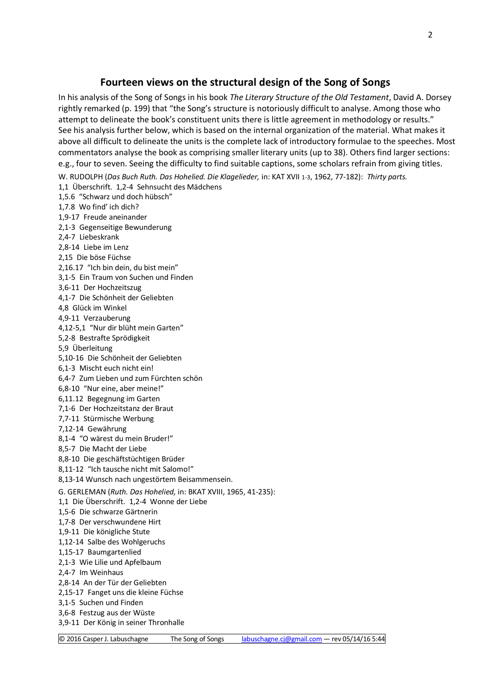## **Fourteen views on the structural design of the Song of Songs**

In his analysis of the Song of Songs in his book *The Literary Structure of the Old Testament*, David A. Dorsey rightly remarked (p. 199) that "the Song's structure is notoriously difficult to analyse. Among those who attempt to delineate the book's constituent units there is little agreement in methodology or results." See his analysis further below, which is based on the internal organization of the material. What makes it above all difficult to delineate the units is the complete lack of introductory formulae to the speeches. Most commentators analyse the book as comprising smaller literary units (up to 38). Others find larger sections: e.g., four to seven. Seeing the difficulty to find suitable captions, some scholars refrain from giving titles.

W. RUDOLPH (*Das Buch Ruth. Das Hohelied. Die Klagelieder,* in: KAT XVII 1-3, 1962, 77-182): *Thirty parts.* 1,1 Überschrift. 1,2-4 Sehnsucht des Mädchens 1,5.6 "Schwarz und doch hübsch" 1,7.8 Wo find' ich dich? 1,9-17 Freude aneinander 2,1-3 Gegenseitige Bewunderung 2,4-7 Liebeskrank 2,8-14 Liebe im Lenz 2,15 Die böse Füchse 2,16.17 "Ich bin dein, du bist mein" 3,1-5 Ein Traum von Suchen und Finden 3,6-11 Der Hochzeitszug 4,1-7 Die Schönheit der Geliebten 4,8 Glück im Winkel 4,9-11 Verzauberung 4,12-5,1 "Nur dir blüht mein Garten" 5,2-8 Bestrafte Sprödigkeit 5,9 Überleitung 5,10-16 Die Schönheit der Geliebten 6,1-3 Mischt euch nicht ein! 6,4-7 Zum Lieben und zum Fürchten schön 6,8-10 "Nur eine, aber meine!" 6,11.12 Begegnung im Garten 7,1-6 Der Hochzeitstanz der Braut 7,7-11 Stürmische Werbung 7,12-14 Gewährung 8,1-4 "O wärest du mein Bruder!" 8,5-7 Die Macht der Liebe 8,8-10 Die geschäftstüchtigen Brüder 8,11-12 "Ich tausche nicht mit Salomo!" 8,13-14 Wunsch nach ungestörtem Beisammensein. G. GERLEMAN (*Ruth. Das Hohelied,* in: BKAT XVIII, 1965, 41-235): 1,1 Die Überschrift. 1,2-4 Wonne der Liebe 1,5-6 Die schwarze Gärtnerin 1,7-8 Der verschwundene Hirt 1,9-11 Die königliche Stute 1,12-14 Salbe des Wohlgeruchs 1,15-17 Baumgartenlied 2,1-3 Wie Lilie und Apfelbaum 2,4-7 Im Weinhaus 2,8-14 An der Tür der Geliebten 2,15-17 Fanget uns die kleine Füchse 3,1-5 Suchen und Finden 3,6-8 Festzug aus der Wüste 3,9-11 Der König in seiner Thronhalle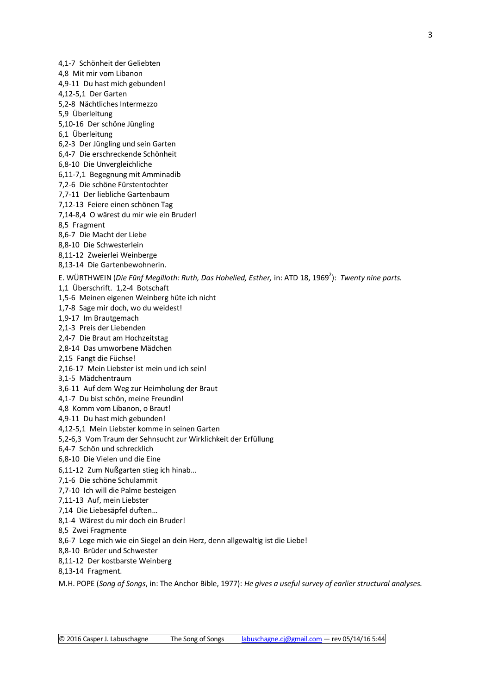3

4,1-7 Schönheit der Geliebten 4,8 Mit mir vom Libanon 4,9-11 Du hast mich gebunden! 4,12-5,1 Der Garten 5,2-8 Nächtliches Intermezzo 5,9 Überleitung 5,10-16 Der schöne Jüngling 6,1 Überleitung 6,2-3 Der Jüngling und sein Garten 6,4-7 Die erschreckende Schönheit 6,8-10 Die Unvergleichliche 6,11-7,1 Begegnung mit Amminadib 7,2-6 Die schöne Fürstentochter 7,7-11 Der liebliche Gartenbaum 7,12-13 Feiere einen schönen Tag 7,14-8,4 O wärest du mir wie ein Bruder! 8,5 Fragment 8,6-7 Die Macht der Liebe 8,8-10 Die Schwesterlein 8,11-12 Zweierlei Weinberge 8,13-14 Die Gartenbewohnerin. E. WÜRTHWEIN (Die Fünf Megilloth: Ruth, Das Hohelied, Esther, in: ATD 18, 1969<sup>2</sup>): Twenty nine parts. 1,1 Überschrift. 1,2-4 Botschaft 1,5-6 Meinen eigenen Weinberg hüte ich nicht 1,7-8 Sage mir doch, wo du weidest! 1,9-17 Im Brautgemach 2,1-3 Preis der Liebenden 2,4-7 Die Braut am Hochzeitstag 2,8-14 Das umworbene Mädchen 2,15 Fangt die Füchse! 2,16-17 Mein Liebster ist mein und ich sein! 3,1-5 Mädchentraum 3,6-11 Auf dem Weg zur Heimholung der Braut 4,1-7 Du bist schön, meine Freundin! 4,8 Komm vom Libanon, o Braut! 4,9-11 Du hast mich gebunden! 4,12-5,1 Mein Liebster komme in seinen Garten 5,2-6,3 Vom Traum der Sehnsucht zur Wirklichkeit der Erfüllung 6,4-7 Schön und schrecklich 6,8-10 Die Vielen und die Eine 6,11-12 Zum Nußgarten stieg ich hinab… 7,1-6 Die schöne Schulammit 7,7-10 Ich will die Palme besteigen 7,11-13 Auf, mein Liebster 7,14 Die Liebesäpfel duften… 8,1-4 Wärest du mir doch ein Bruder! 8,5 Zwei Fragmente 8,6-7 Lege mich wie ein Siegel an dein Herz, denn allgewaltig ist die Liebe! 8,8-10 Brüder und Schwester 8,11-12 Der kostbarste Weinberg 8,13-14 Fragment. M.H. POPE (*Song of Songs*, in: The Anchor Bible, 1977): *He gives a useful survey of earlier structural analyses.*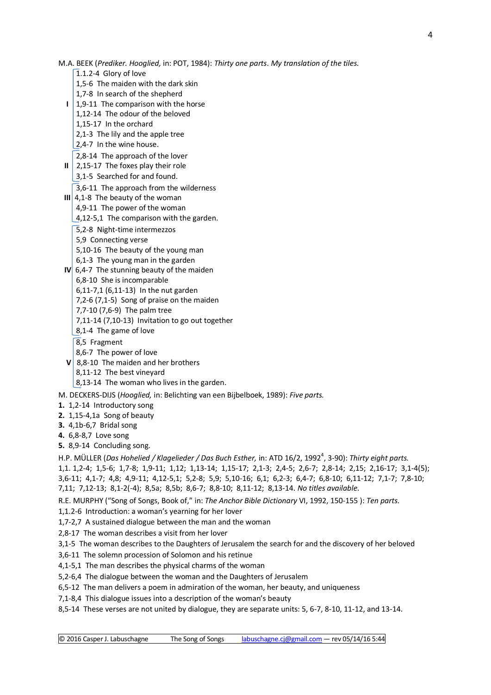- 
- © 2016 Casper J. Labuschagne The Song of Songs [labuschagne.cj@gmail.com](mailto:labuschagne.cj@gmail.com) rev 05/14/16 5:44
- M.A. BEEK (*Prediker. Hooglied,* in: POT, 1984): *Thirty one parts*. *My translation of the tiles.*
	- 1.1.2-4 Glory of love
	- 1,5-6 The maiden with the dark skin
	- 1,7-8 In search of the shepherd
	- **I** | 1,9-11 The comparison with the horse
		- 1,12-14 The odour of the beloved
		- 1,15-17 In the orchard
		- 2,1-3 The lily and the apple tree
		- 2,4-7 In the wine house.
		- 2,8-14 The approach of the lover
	- **II** 2,15-17 The foxes play their role
		- 3,1-5 Searched for and found.
		- 3,6-11 The approach from the wilderness
	- **III** 4,1-8 The beauty of the woman
		- 4,9-11 The power of the woman
		- 4,12-5,1 The comparison with the garden.
		- 5,2-8 Night-time intermezzos
		- 5,9 Connecting verse
		- 5,10-16 The beauty of the young man
		- 6,1-3 The young man in the garden
	- **IV** 6,4-7 The stunning beauty of the maiden
		- 6,8-10 She is incomparable
		- 6,11-7,1 (6,11-13) In the nut garden
		- 7,2-6 (7,1-5) Song of praise on the maiden
		- 7,7-10 (7,6-9) The palm tree
		- 7,11-14 (7,10-13) Invitation to go out together
		- 8,1-4 The game of love
		- 8.5 Fragment
		- 8,6-7 The power of love
	- **V** 8,8-10 The maiden and her brothers
		- 8,11-12 The best vineyard
		- 8,13-14 The woman who lives in the garden.
- M. DECKERS-DIJS (*Hooglied,* in: Belichting van een Bijbelboek, 1989): *Five parts.*
- **1.** 1,2-14 Introductory song
- **2.** 1,15-4,1aSong of beauty
- **3.** 4,1b-6,7 Bridal song
- **4.** 6,8-8,7 Love song
- **5.** 8,9-14 Concluding song.

H.P. MÜLLER (*Das Hohelied / Klagelieder / Das Buch Esther, in: ATD 16/2, 1992<sup>4</sup>, 3-90): Thirty eight parts.* 1,1. 1,2-4; 1,5-6; 1,7-8; 1,9-11; 1,12; 1,13-14; 1,15-17; 2,1-3; 2,4-5; 2,6-7; 2,8-14; 2,15; 2,16-17; 3,1-4(5); 3,6-11; 4,1-7; 4,8; 4,9-11; 4,12-5,1; 5,2-8; 5,9; 5,10-16; 6,1; 6,2-3; 6,4-7; 6,8-10; 6,11-12; 7,1-7; 7,8-10; 7,11; 7,12-13; 8,1-2(-4); 8,5a; 8,5b; 8,6-7; 8,8-10; 8,11-12; 8,13-14. *No titles available*.

R.E. MURPHY ("Song of Songs, Book of," in: *The Anchor Bible Dictionary* VI, 1992, 150-155 ): *Ten parts.*

- 1,1.2-6 Introduction: a woman's yearning for her lover
- 1,7-2,7 A sustained dialogue between the man and the woman
- 2,8-17 The woman describes a visit from her lover

3,1-5 The woman describes to the Daughters of Jerusalem the search for and the discovery of her beloved

- 3,6-11 The solemn procession of Solomon and his retinue
- 4,1-5,1 The man describes the physical charms of the woman
- 5,2-6,4 The dialogue between the woman and the Daughters of Jerusalem
- 6,5-12 The man delivers a poem in admiration of the woman, her beauty, and uniqueness
- 7,1-8,4 This dialogue issues into a description of the woman's beauty
- 8,5-14 These verses are not united by dialogue, they are separate units: 5, 6-7, 8-10, 11-12, and 13-14.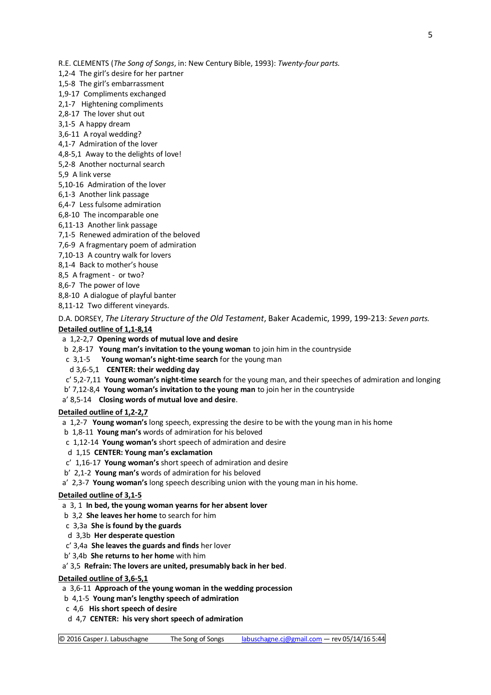R.E. CLEMENTS (*The Song of Songs*, in: New Century Bible, 1993): *Twenty-four parts.*

1,2-4 The girl's desire for her partner

1,5-8 The girl's embarrassment

1,9-17 Compliments exchanged

2,1-7 Hightening compliments

2,8-17 The lover shut out

3,1-5 A happy dream

3,6-11 A royal wedding?

4,1-7 Admiration of the lover

4,8-5,1 Away to the delights of love!

5,2-8 Another nocturnal search

5,9 A link verse

5,10-16 Admiration of the lover

6,1-3 Another link passage

6,4-7 Less fulsome admiration

6,8-10 The incomparable one

6,11-13 Another link passage

7,1-5 Renewed admiration of the beloved

- 7,6-9 A fragmentary poem of admiration
- 7,10-13 A country walk for lovers

8,1-4 Back to mother's house

8,5 A fragment - or two?

8,6-7 The power of love

8,8-10 A dialogue of playful banter

8,11-12 Two different vineyards.

D.A. DORSEY, *The Literary Structure of the Old Testament*, Baker Academic, 1999, 199-213: *Seven parts.* **Detailed outline of 1,1-8,14**

a 1,2-2,7 **Opening words of mutual love and desire**

b 2,8-17 **Young man's invitation to the young woman** to join him in the countryside

c 3,1-5 **Young woman's night-time search** for the young man

d 3,6-5,1 **CENTER: their wedding day**

c' 5,2-7,11 **Young woman's night-time search** for the young man, and their speeches of admiration and longing

b' 7,12-8,4 **Young woman's invitation to the young man** to join her in the countryside

a' 8,5-14 **Closing words of mutual love and desire**.

### **Detailed outline of 1,2-2,7**

a 1,2-7 **Young woman's** long speech, expressing the desire to be with the young man in his home

- b 1,8-11 **Young man's** words of admiration for his beloved
- c 1,12-14 **Young woman's** short speech of admiration and desire
- d 1,15 **CENTER: Young man's exclamation**
- c' 1,16-17 **Young woman's** short speech of admiration and desire
- b' 2,1-2 **Young man's** words of admiration for his beloved

a' 2,3-7 **Young woman's** long speech describing union with the young man in his home.

### **Detailed outline of 3,1-5**

a 3, 1 **In bed, the young woman yearns for her absent lover**

b 3,2 **She leaves her home** to search for him

c 3,3a **She is found by the guards**

- d 3,3b **Her desperate question**
- c' 3,4a **She leaves the guards and finds** her lover
- b' 3,4b **She returns to her home** with him

a' 3,5 **Refrain: The lovers are united, presumably back in her bed**.

### **Detailed outline of 3,6-5,1**

a 3,6-11 **Approach of the young woman in the wedding procession**

b 4,1-5 **Young man's lengthy speech of admiration**

- c 4,6 **His short speech of desire**
- d 4,7 **CENTER: his very short speech of admiration**

© 2016 Casper J. Labuschagne The Song of Songs [labuschagne.cj@gmail.com](mailto:labuschagne.cj@gmail.com) — rev 05/14/16 5:44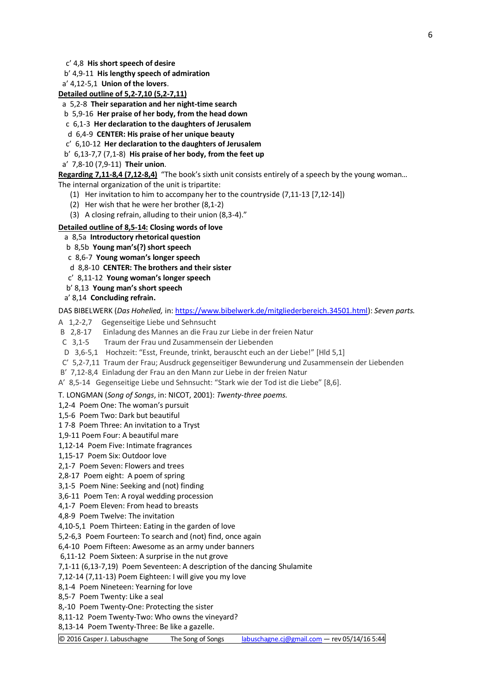c' 4,8 **His short speech of desire**

b' 4,9-11 **His lengthy speech of admiration**

a' 4,12-5,1 **Union of the lovers**.

**Detailed outline of 5,2-7,10 (5,2-7,11)**

a 5,2-8 **Their separation and her night-time search**

b 5,9-16 **Her praise of her body, from the head down**

c 6,1-3 **Her declaration to the daughters of Jerusalem**

d 6,4-9 **CENTER: His praise of her unique beauty**

c' 6,10-12 **Her declaration to the daughters of Jerusalem**

b' 6,13-7,7 (7,1-8) **His praise of her body, from the feet up**

a' 7,8-10 (7,9-11) **Their union**.

**Regarding 7,11-8,4 (7,12-8,4)** "The book's sixth unit consists entirely of a speech by the young woman… The internal organization of the unit is tripartite:

- (1) Her invitation to him to accompany her to the countryside (7,11-13 [7,12-14])
- (2) Her wish that he were her brother (8,1-2)
- (3) A closing refrain, alluding to their union (8,3-4)."

#### **Detailed outline of 8,5-14: Closing words of love**

a 8,5a **Introductory rhetorical question**

b 8,5b **Young man's(?) short speech**

c 8,6-7 **Young woman's longer speech**

d 8,8-10 **CENTER: The brothers and their sister**

c' 8,11-12 **Young woman's longer speech**

b' 8,13 **Young man's short speech**

a' 8,14 **Concluding refrain.**

DAS BIBELWERK (*Das Hohelied,* in[: https://www.bibelwerk.de/mitgliederbereich.34501.html\)](https://www.bibelwerk.de/mitgliederbereich.34501.html): *Seven parts.*

- A 1,2-2,7 Gegenseitige Liebe und Sehnsucht
- B 2,8-17 Einladung des Mannes an die Frau zur Liebe in der freien Natur<br>C 3.1-5 Traum der Frau und Zusammensein der Liebenden
- Traum der Frau und Zusammensein der Liebenden
- D 3,6-5,1 Hochzeit: "Esst, Freunde, trinkt, berauscht euch an der Liebe!" [Hld 5,1]

C' 5,2-7,11 Traum der Frau; Ausdruck gegenseitiger Bewunderung und Zusammensein der Liebenden

B' 7,12-8,4 Einladung der Frau an den Mann zur Liebe in der freien Natur

A' 8,5-14 Gegenseitige Liebe und Sehnsucht: "Stark wie der Tod ist die Liebe" [8,6].

T. LONGMAN (*Song of Songs*, in: NICOT, 2001): *Twenty-three poems.*

1,2-4 Poem One: The woman's pursuit

1,5-6 Poem Two: Dark but beautiful

1 7-8 Poem Three: An invitation to a Tryst

1,9-11 Poem Four: A beautiful mare

1,12-14 Poem Five: Intimate fragrances

1,15-17 Poem Six: Outdoor love

2,1-7 Poem Seven: Flowers and trees

2,8-17 Poem eight: A poem of spring

3,1-5 Poem Nine: Seeking and (not) finding

3,6-11 Poem Ten: A royal wedding procession

4,1-7 Poem Eleven: From head to breasts

4,8-9 Poem Twelve: The invitation

4,10-5,1 Poem Thirteen: Eating in the garden of love

5,2-6,3 Poem Fourteen: To search and (not) find, once again

6,4-10 Poem Fifteen: Awesome as an army under banners

6,11-12 Poem Sixteen: A surprise in the nut grove

7,1-11 (6,13-7,19) Poem Seventeen: A description of the dancing Shulamite

7,12-14 (7,11-13) Poem Eighteen: I will give you my love

8,1-4 Poem Nineteen: Yearning for love

8,5-7 Poem Twenty: Like a seal

8,-10 Poem Twenty-One: Protecting the sister

8,11-12 Poem Twenty-Two: Who owns the vineyard?

8,13-14 Poem Twenty-Three: Be like a gazelle.

© 2016 Casper J. Labuschagne The Song of Songs [labuschagne.cj@gmail.com](mailto:labuschagne.cj@gmail.com) — rev 05/14/16 5:44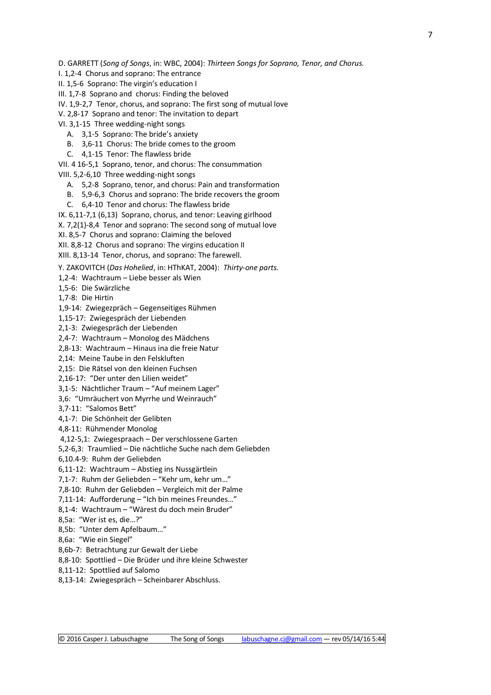D. GARRETT (*Song of Songs*, in: WBC, 2004): *Thirteen Songs for Soprano, Tenor, and Chorus.*

I. 1,2-4 Chorus and soprano: The entrance

II. 1,5-6 Soprano: The virgin's education I

III. 1,7-8 Soprano and chorus: Finding the beloved

IV. 1,9-2,7 Tenor, chorus, and soprano: The first song of mutual love

V. 2,8-17 Soprano and tenor: The invitation to depart

VI. 3,1-15 Three wedding-night songs

A. 3,1-5 Soprano: The bride's anxiety

B. 3,6-11 Chorus: The bride comes to the groom

C. 4,1-15 Tenor: The flawless bride

VII. 4 16-5,1 Soprano, tenor, and chorus: The consummation

VIII. 5,2-6,10 Three wedding-night songs

A. 5,2-8 Soprano, tenor, and chorus: Pain and transformation

B. 5,9-6,3 Chorus and soprano: The bride recovers the groom

C. 6,4-10 Tenor and chorus: The flawless bride

IX. 6,11-7,1 (6,13) Soprano, chorus, and tenor: Leaving girlhood

X. 7,2(1)-8,4 Tenor and soprano: The second song of mutual love

XI. 8,5-7 Chorus and soprano: Claiming the beloved

XII. 8,8-12 Chorus and soprano: The virgins education II

XIII. 8,13-14 Tenor, chorus, and soprano: The farewell.

Y. ZAKOVITCH (*Das Hohelied*, in: HThKAT, 2004): *Thirty-one parts.*

1,2-4: Wachtraum – Liebe besser als Wien

1,5-6: Die Swärzliche

1,7-8: Die Hirtin

1,9-14: Zwiegezpräch – Gegenseitiges Rühmen

1,15-17: Zwiegespräch der Liebenden

2,1-3: Zwiegespräch der Liebenden

2,4-7: Wachtraum – Monolog des Mädchens

2,8-13: Wachtraum – Hinaus ina die freie Natur

2,14: Meine Taube in den Felskluften

2,15: Die Rätsel von den kleinen Fuchsen

2,16-17: "Der unter den Lilien weidet"

3,1-5: Nächtlicher Traum – "Auf meinem Lager"

3,6: "Umräuchert von Myrrhe und Weinrauch"

3,7-11: "Salomos Bett"

4,1-7: Die Schönheit der Gelibten

4,8-11: Rühmender Monolog

4,12-5,1: Zwiegespraach – Der verschlossene Garten

5,2-6,3: Traumlied – Die nächtliche Suche nach dem Geliebden

6,10.4-9: Ruhm der Geliebden

6,11-12: Wachtraum – Abstieg ins Nussgärtlein

7,1-7: Ruhm der Geliebden – "Kehr um, kehr um…"

7,8-10: Ruhm der Geliebden – Vergleich mit der Palme

7,11-14: Aufforderung – "Ich bin meines Freundes…"

8,1-4: Wachtraum – "Wärest du doch mein Bruder"

8,5a: "Wer ist es, die…?"

8,5b: "Unter dem Apfelbaum…"

8,6a: "Wie ein Siegel"

8,6b-7: Betrachtung zur Gewalt der Liebe

8,8-10: Spottlied – Die Brüder und ihre kleine Schwester

8,11-12: Spottlied auf Salomo

8,13-14: Zwiegespräch – Scheinbarer Abschluss.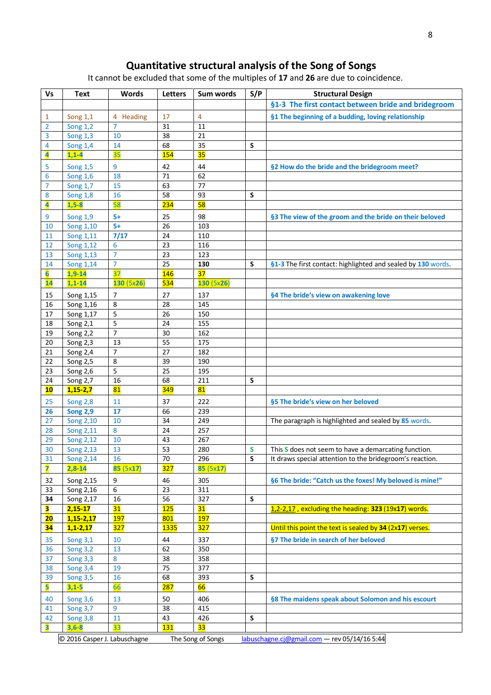## **Quantitative structural analysis of the Song of Songs**

It cannot be excluded that some of the multiples of **17** and **26** are due to coincidence.

| <b>Vs</b>               | <b>Text</b>                  | <b>Words</b>         | <b>Letters</b> | Sum words         | S/P    | <b>Structural Design</b>                                                                                         |
|-------------------------|------------------------------|----------------------|----------------|-------------------|--------|------------------------------------------------------------------------------------------------------------------|
|                         |                              |                      |                |                   |        | §1-3 The first contact between bride and bridegroom                                                              |
| 1                       | Song 1,1                     | 4 Heading            | 17             | 4                 |        | §1 The beginning of a budding, loving relationship                                                               |
| 2                       | <b>Song 1,2</b>              | $\overline{7}$       | 31             | 11                |        |                                                                                                                  |
| 3                       | <b>Song 1,3</b>              | 10                   | 38             | 21                |        |                                                                                                                  |
| 4                       | <b>Song 1,4</b>              | 14                   | 68             | 35                | S      |                                                                                                                  |
| 4                       | $1,1-4$                      | 35                   | <b>154</b>     | 35                |        |                                                                                                                  |
| 5                       | <b>Song 1,5</b>              | 9                    | 42             | 44                |        | §2 How do the bride and the bridegroom meet?                                                                     |
| 6                       | <b>Song 1,6</b>              | 18                   | 71             | 62                |        |                                                                                                                  |
| 7                       | <b>Song 1,7</b>              | 15                   | 63             | 77                |        |                                                                                                                  |
| 8                       | <b>Song 1,8</b>              | 16                   | 58             | 93                | S      |                                                                                                                  |
| $\overline{\mathbf{A}}$ | $1,5-8$                      | 58                   | <b>234</b>     | 58                |        |                                                                                                                  |
| 9                       | <b>Song 1,9</b>              | $5+$                 | 25             | 98                |        | §3 The view of the groom and the bride on their beloved                                                          |
| 10                      | Song 1,10                    | $5+$                 | 26             | 103               |        |                                                                                                                  |
| 11                      | Song 1,11                    | 7/17                 | 24             | 110               |        |                                                                                                                  |
| 12                      | Song 1,12                    | 6                    | 23             | 116               |        |                                                                                                                  |
| 13                      | Song 1,13                    | $\overline{7}$       | 23             | 123               |        |                                                                                                                  |
| 14                      | Song 1,14                    | $\overline{7}$       | 25             | 130               | S      | §1-3 The first contact: highlighted and sealed by 130 words.                                                     |
| $\overline{6}$          | $1,9-14$                     | $\overline{37}$      | <b>146</b>     | 37                |        |                                                                                                                  |
| 14                      | $1,1-14$                     | 130(5x26)            | <b>534</b>     | 130(5x26)         |        |                                                                                                                  |
| 15                      | Song 1,15                    | $\overline{7}$       | 27             | 137               |        | §4 The bride's view on awakening love                                                                            |
| 16                      | Song 1,16                    | 8                    | 28             | 145               |        |                                                                                                                  |
| 17                      | Song 1,17                    | 5                    | 26             | 150               |        |                                                                                                                  |
| 18                      | Song 2,1                     | 5                    | 24             | 155               |        |                                                                                                                  |
| 19                      | Song 2,2                     | $\overline{7}$       | 30             | 162               |        |                                                                                                                  |
| 20                      | Song 2,3                     | 13                   | 55             | 175               |        |                                                                                                                  |
| 21                      | Song 2,4                     | $\overline{7}$       | 27             | 182               |        |                                                                                                                  |
| 22                      | Song 2,5                     | 8                    | 39             | 190               |        |                                                                                                                  |
| 23                      | Song 2,6                     | 5                    | 25             | 195               |        |                                                                                                                  |
| 24                      | Song 2,7                     | 16<br>81             | 68             | 211               | S      |                                                                                                                  |
| <b>10</b>               | $1,15 - 2,7$                 |                      | <b>349</b>     | 81                |        |                                                                                                                  |
| 25                      | <b>Song 2,8</b>              | 11                   | 37             | 222               |        | §5 The bride's view on her beloved                                                                               |
| 26                      | <b>Song 2,9</b>              | 17                   | 66             | 239               |        |                                                                                                                  |
| 27                      | Song 2,10                    | 10                   | 34             | 249               |        | The paragraph is highlighted and sealed by 85 words.                                                             |
| 28                      | Song 2,11                    | 8                    | 24             | 257               |        |                                                                                                                  |
| 29<br>30                | Song 2,12                    | 10                   | 43<br>53       | 267               |        |                                                                                                                  |
| 31                      | <b>Song 2,13</b>             | 13<br>16             | 70             | 280<br>296        | S<br>S | This S does not seem to have a demarcating function.<br>It draws special attention to the bridegroom's reaction. |
| $\overline{\mathbf{z}}$ | Song 2,14<br>$2,8-14$        | 85 (5x17)            | <b>327</b>     | 85 (5x17)         |        |                                                                                                                  |
|                         |                              |                      |                |                   |        |                                                                                                                  |
| 32                      | Song 2,15                    | 9                    | 46             | 305               |        | §6 The bride: "Catch us the foxes! My beloved is mine!"                                                          |
| 33                      | Song 2,16                    | 6                    | 23             | 311               |        |                                                                                                                  |
| 34<br>3                 | Song 2,17<br>$2,15 - 17$     | 16<br>31             | 56<br>125      | 327<br>31         | S      | 1,2-2,17, excluding the heading: 323 (19x17) words.                                                              |
| 20                      | $1,15-2,17$                  | <b>197</b>           | 801            | <b>197</b>        |        |                                                                                                                  |
| 34                      | $1, 1 - 2, 17$               | <b>327</b>           | <b>1335</b>    | 327               |        | Until this point the text is sealed by 34 (2x17) verses.                                                         |
|                         |                              |                      |                |                   |        |                                                                                                                  |
| 35                      | <b>Song 3,1</b>              | 10                   | 44<br>62       | 337               |        | §7 The bride in search of her beloved                                                                            |
| 36                      | <b>Song 3,2</b>              | 13<br>8              |                | 350               |        |                                                                                                                  |
| 37<br>38                | Song 3,3<br>Song 3,4         | 19                   | 38<br>75       | 358<br>377        |        |                                                                                                                  |
| 39                      | <b>Song 3,5</b>              | 16                   | 68             | 393               | S      |                                                                                                                  |
| 5                       | $3,1-5$                      | 66                   | <b>287</b>     | 66                |        |                                                                                                                  |
|                         |                              |                      |                |                   |        |                                                                                                                  |
| 40                      | <b>Song 3,6</b>              | 13<br>$\overline{9}$ | 50<br>38       | 406<br>415        |        | §8 The maidens speak about Solomon and his escourt                                                               |
| 41<br>42                | <b>Song 3,7</b>              | 11                   | 43             | 426               | S      |                                                                                                                  |
| 3                       | Song 3,8<br>$3,6-8$          | 33                   | <b>131</b>     | 33                |        |                                                                                                                  |
|                         |                              |                      |                |                   |        |                                                                                                                  |
|                         | © 2016 Casper J. Labuschagne |                      |                | The Song of Songs |        | labuschagne.cj@gmail.com - rev 05/14/16 5:44                                                                     |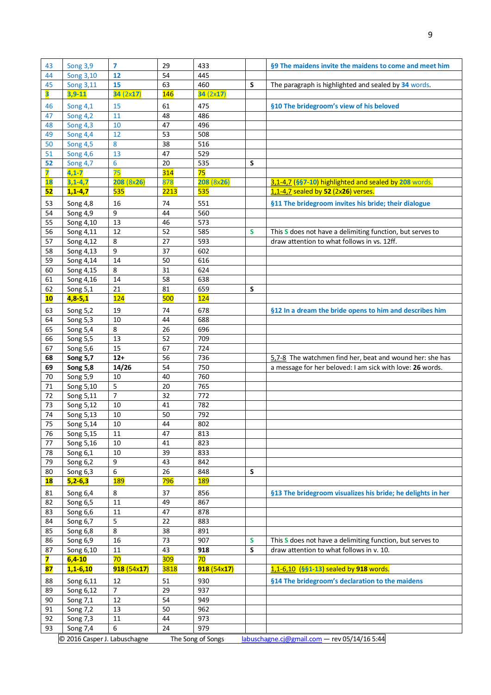| 43        | Song 3,9                                 | $\overline{7}$ | 29          | 433                      |   | §9 The maidens invite the maidens to come and meet him      |
|-----------|------------------------------------------|----------------|-------------|--------------------------|---|-------------------------------------------------------------|
| 44        | Song 3,10                                | 12             | 54          | 445                      |   |                                                             |
| 45        | Song 3,11                                | 15             | 63          | 460                      | S | The paragraph is highlighted and sealed by 34 words.        |
| 3         | $3,9-11$                                 | 34 (2x17)      | <b>146</b>  | 34(2x17)                 |   |                                                             |
| 46        | Song 4,1                                 | 15             | 61          | 475                      |   | §10 The bridegroom's view of his beloved                    |
| 47        | Song $\overline{4,2}$                    | 11             | 48          | 486                      |   |                                                             |
| 48        | <b>Song 4,3</b>                          | 10             | 47          | 496                      |   |                                                             |
| 49        | <b>Song 4,4</b>                          | 12             | 53          | 508                      |   |                                                             |
| 50        | <b>Song 4,5</b>                          | 8              | 38          | 516                      |   |                                                             |
| 51        | <b>Song 4,6</b>                          | 13             | 47          | 529                      |   |                                                             |
| 52        | <b>Song 4,7</b>                          | 6              | 20          | 535                      | S |                                                             |
| 7         | $4,1-7$                                  | 75             | <b>314</b>  | 75                       |   |                                                             |
| 18        | $3,1-4,7$                                | 208 (8x26)     | 878         | 208(8x26)                |   | 3,1-4,7 (§§7-10) highlighted and sealed by 208 words.       |
| 52        | $1,1-4,7$                                | 535            | 2213        | 535                      |   | 1,1-4,7 sealed by 52 (2x26) verses.                         |
| 53        | Song 4,8                                 | 16             | 74          | 551                      |   | §11 The bridegroom invites his bride; their dialogue        |
| 54        | Song 4,9                                 | 9              | 44          | 560                      |   |                                                             |
| 55        | Song 4,10                                | 13             | 46          | 573                      |   |                                                             |
| 56        | Song 4,11                                | 12             | 52          | 585                      | S | This S does not have a delimiting function, but serves to   |
| 57        | Song 4,12                                | 8              | 27          | 593                      |   | draw attention to what follows in vs. 12ff.                 |
| 58        | Song 4,13                                | 9              | 37          | 602                      |   |                                                             |
| 59        | Song 4,14                                | 14             | 50          | 616                      |   |                                                             |
| 60        | Song 4,15                                | 8              | 31          | 624                      |   |                                                             |
| 61        | Song 4,16                                | 14             | 58          | 638                      |   |                                                             |
| 62        | Song 5,1                                 | 21             | 81          | 659                      | S |                                                             |
| 10        | $4,8-5,1$                                | 124            | 500         | 124                      |   |                                                             |
| 63        | Song 5,2                                 | 19             | 74          | 678                      |   | §12 In a dream the bride opens to him and describes him     |
| 64        | Song 5,3                                 | 10             | 44          | 688                      |   |                                                             |
| 65        | Song 5,4                                 | 8              | 26          | 696                      |   |                                                             |
| 66        | Song 5,5                                 | 13             | 52          | 709                      |   |                                                             |
| 67        | Song 5,6                                 | 15             | 67          | 724                      |   |                                                             |
| 68        | <b>Song 5,7</b>                          | $12+$          | 56          | 736                      |   | 5.7-8 The watchmen find her, beat and wound her: she has    |
| 69        | <b>Song 5,8</b>                          | 14/26          | 54          | 750                      |   | a message for her beloved: I am sick with love: 26 words.   |
| 70<br>71  | Song 5,9                                 | 10<br>5        | 40          | 760<br>765               |   |                                                             |
|           | Song 5,10                                | 7              | 20<br>32    | 772                      |   |                                                             |
| 72<br>73  | Song 5,11<br>Song 5,12                   | 10             | 41          | 782                      |   |                                                             |
| 74        | Song 5,13                                | 10             | 50          | 792                      |   |                                                             |
| 75        | Song 5,14                                | 10             | 44          | 802                      |   |                                                             |
| 76        | Song 5,15                                | 11             | 47          | 813                      |   |                                                             |
| 77        | Song 5,16                                | 10             | 41          | 823                      |   |                                                             |
| 78        | Song 6,1                                 | 10             | 39          | 833                      |   |                                                             |
| 79        | Song 6,2                                 | 9              | 43          | 842                      |   |                                                             |
| 80        | Song 6,3                                 | 6              | 26          | 848                      | S |                                                             |
| <b>18</b> | $5,2-6,3$                                | <b>189</b>     | 796         | <b>189</b>               |   |                                                             |
| 81        | Song 6,4                                 | 8              | 37          | 856                      |   | §13 The bridegroom visualizes his bride; he delights in her |
| 82        | Song $6,5$                               | 11             | 49          | 867                      |   |                                                             |
| 83        | Song 6,6                                 | 11             | 47          | 878                      |   |                                                             |
| 84        | Song 6,7                                 | 5              | 22          | 883                      |   |                                                             |
| 85        | Song 6,8                                 | 8              | 38          | 891                      |   |                                                             |
| 86        |                                          | 16             | 73          | 907                      | S | This S does not have a delimiting function, but serves to   |
| 87        | Song 6,9                                 |                |             |                          |   | draw attention to what follows in v. 10.                    |
|           | Song 6,10                                | 11             | 43          | 918                      | S |                                                             |
| 7         | $6,4-10$                                 | 70             | <b>309</b>  | 70                       |   |                                                             |
| 87        | $1, 1 - 6, 10$                           | 918(54x17)     | <b>3818</b> | 918(54x17)               |   | 1,1-6,10 (§§1-13) sealed by 918 words.                      |
| 88        | Song 6,11                                | 12             | 51          | 930                      |   | §14 The bridegroom's declaration to the maidens             |
| 89        | Song 6,12                                | $\overline{7}$ | 29          | 937                      |   |                                                             |
| 90        | Song 7,1                                 | 12             | 54          | 949                      |   |                                                             |
| 91        | Song 7,2                                 | 13             | 50          | 962                      |   |                                                             |
| 92        | Song 7,3                                 | 11             | 44          | 973                      |   |                                                             |
| 93        | Song 7,4<br>© 2016 Casper J. Labuschagne | 6              | 24          | 979<br>The Song of Songs |   | labuschagne.cj@gmail.com - rev 05/14/16 5:44                |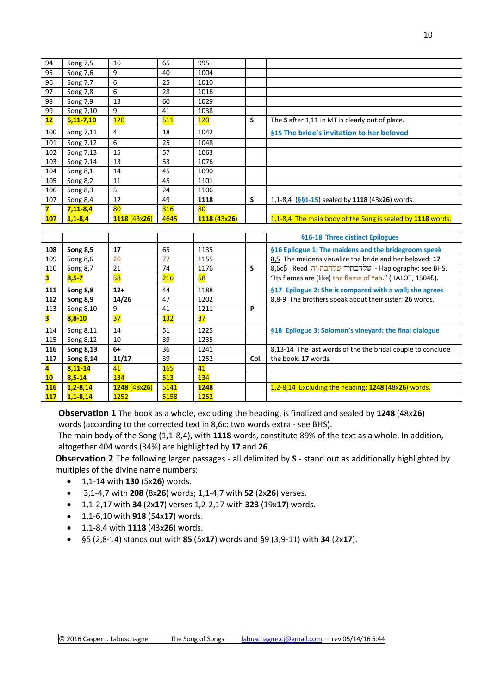| 94                      | Song 7,5        | 16              | 65         | 995          |      |                                                             |
|-------------------------|-----------------|-----------------|------------|--------------|------|-------------------------------------------------------------|
| 95                      | Song 7,6        | 9               | 40         | 1004         |      |                                                             |
| 96                      | Song 7,7        | 6               | 25         | 1010         |      |                                                             |
| 97                      | Song 7,8        | 6               | 28         | 1016         |      |                                                             |
| 98                      | Song 7,9        | 13              | 60         | 1029         |      |                                                             |
| 99                      | Song 7,10       | 9               | 41         | 1038         |      |                                                             |
| 12                      | $6,11 - 7,10$   | 120             | 511        | 120          | S    | The S after 1,11 in MT is clearly out of place.             |
| 100                     | Song 7,11       | 4               | 18         | 1042         |      | §15 The bride's invitation to her beloved                   |
| 101                     | Song 7,12       | 6               | 25         | 1048         |      |                                                             |
| 102                     | Song 7,13       | 15              | 57         | 1063         |      |                                                             |
| 103                     | Song 7,14       | 13              | 53         | 1076         |      |                                                             |
| 104                     | Song 8,1        | 14              | 45         | 1090         |      |                                                             |
| 105                     | Song 8,2        | 11              | 45         | 1101         |      |                                                             |
| 106                     | Song 8,3        | 5               | 24         | 1106         |      |                                                             |
| 107                     | Song 8,4        | $\overline{12}$ | 49         | 1118         | S    | 1,1-8,4 (§§1-15) sealed by 1118 (43x26) words.              |
| 7                       | $7,11-8,4$      | 80              | 316        | 80           |      |                                                             |
| 107                     | $1,1 - 8,4$     | 1118 (43x26)    | 4645       | 1118 (43x26) |      | 1,1-8,4 The main body of the Song is sealed by 1118 words.  |
|                         |                 |                 |            |              |      |                                                             |
|                         |                 |                 |            |              |      |                                                             |
|                         |                 |                 |            |              |      | §16-18 Three distinct Epilogues                             |
| 108                     | <b>Song 8,5</b> | 17              | 65         | 1135         |      | §16 Epilogue 1: The maidens and the bridegroom speak        |
| 109                     | Song 8,6        | 20              | 77         | 1155         |      | 8.5 The maidens visualize the bride and her beloved: 17.    |
| 110                     | Song 8,7        | 21              | 74         | 1176         | S    | 8,6cβ Read ו- שלהבת-יה שלהבת-יה BHS.                        |
| 3                       | $8,5 - 7$       | 58              | 216        | 58           |      | "Its flames are (like) the flame of Yah." (HALOT, 1504f.).  |
| 111                     | Song 8,8        | $12+$           | 44         | 1188         |      | §17 Epilogue 2: She is compared with a wall; she agrees     |
| 112                     | <b>Song 8,9</b> | 14/26           | 47         | 1202         |      | 8,8-9 The brothers speak about their sister: 26 words.      |
| 113                     | Song 8,10       | 9               | 41         | 1211         | P    |                                                             |
| 3                       | $8,8-10$        | 37              | 132        | 37           |      |                                                             |
| 114                     | Song 8,11       | 14              | 51         | 1225         |      | §18 Epilogue 3: Solomon's vineyard: the final dialogue      |
| 115                     | Song 8,12       | 10              | 39         | 1235         |      |                                                             |
| 116                     | Song 8,13       | $6+$            | 36         | 1241         |      | 8,13-14 The last words of the the bridal couple to conclude |
| 117                     | Song 8,14       | 11/17           | 39         | 1252         | Col. | the book: 17 words.                                         |
| $\overline{\mathbf{4}}$ | $8,11 - 14$     | 41              | <b>165</b> | 41           |      |                                                             |
| 10                      | $8,5 - 14$      | 134             | 513        | <b>134</b>   |      |                                                             |
| <b>116</b>              | $1,2-8,14$      | 1248 (48x26)    | 5141       | 1248         |      | 1,2-8,14 Excluding the heading: 1248 (48x26) words.         |

**Observation 1** The book as a whole, excluding the heading, is finalized and sealed by **1248** (48x**26**) words (according to the corrected text in 8,6c: two words extra - see BHS).

The main body of the Song (1,1-8,4), with **1118** words, constitute 89% of the text as a whole. In addition, altogether 404 words (34%) are highlighted by **17** and **26**.

**Observation 2** The following larger passages - all delimited by **S** - stand out as additionally highlighted by multiples of the divine name numbers:

- 1,1-14 with **130** (5x**26**) words.
- 3,1-4,7 with **208** (8x**26**) words; 1,1-4,7 with **52** (2x**26**) verses.
- 1,1-2,17 with **34** (2x**17**) verses 1,2-2,17 with **323** (19x**17**) words.
- 1,1-6,10 with **918** (54x**17**) words.
- 1,1-8,4 with **1118** (43x**26**) words.
- §5 (2,8-14) stands out with **85** (5x**17**) words and §9 (3,9-11) with **34** (2x**17**).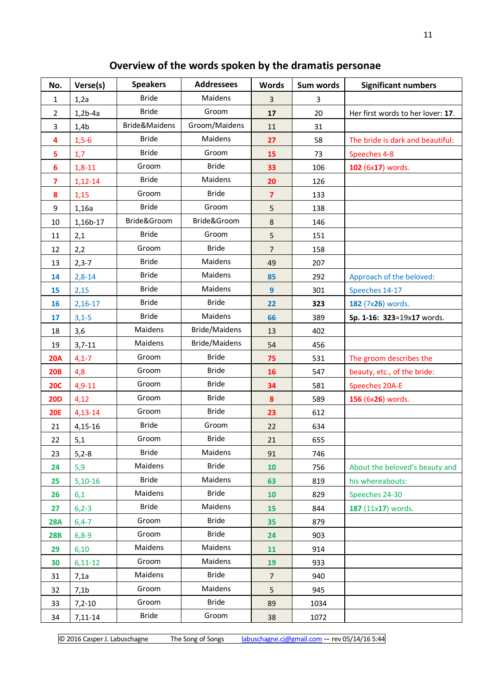# **Overview of the words spoken by the dramatis personae**

| No.                     | Verse(s)         | <b>Speakers</b> | <b>Addressees</b> | <b>Words</b>   | Sum words | <b>Significant numbers</b>        |
|-------------------------|------------------|-----------------|-------------------|----------------|-----------|-----------------------------------|
| 1                       | 1,2a             | <b>Bride</b>    | Maidens           | $\overline{3}$ | 3         |                                   |
| $\overline{2}$          | $1,2b-4a$        | <b>Bride</b>    | Groom             | 17             | 20        | Her first words to her lover: 17. |
| 3                       | 1,4b             | Bride&Maidens   | Groom/Maidens     | 11             | 31        |                                   |
| 4                       | $1,5-6$          | <b>Bride</b>    | Maidens           | 27             | 58        | The bride is dark and beautiful:  |
| 5                       | 1,7              | <b>Bride</b>    | Groom             | 15             | 73        | Speeches 4-8                      |
| $6\phantom{1}6$         | $1,8-11$         | Groom           | <b>Bride</b>      | 33             | 106       | 102 (6x17) words.                 |
| $\overline{\mathbf{z}}$ | $1,12-14$        | <b>Bride</b>    | Maidens           | 20             | 126       |                                   |
| 8                       | 1,15             | Groom           | <b>Bride</b>      | $\overline{7}$ | 133       |                                   |
| 9                       | 1,16a            | <b>Bride</b>    | Groom             | 5              | 138       |                                   |
| 10                      | 1,16b-17         | Bride&Groom     | Bride&Groom       | 8              | 146       |                                   |
| 11                      | 2,1              | <b>Bride</b>    | Groom             | 5              | 151       |                                   |
| 12                      | 2,2              | Groom           | <b>Bride</b>      | $\overline{7}$ | 158       |                                   |
| 13                      | $2,3-7$          | <b>Bride</b>    | Maidens           | 49             | 207       |                                   |
| 14                      | $2,8-14$         | <b>Bride</b>    | Maidens           | 85             | 292       | Approach of the beloved:          |
| 15                      | 2,15             | <b>Bride</b>    | Maidens           | 9              | 301       | Speeches 14-17                    |
| 16                      | $2,16-17$        | <b>Bride</b>    | <b>Bride</b>      | 22             | 323       | 182 (7x26) words.                 |
| 17                      | $3,1-5$          | <b>Bride</b>    | Maidens           | 66             | 389       | Sp. 1-16: 323=19x17 words.        |
| 18                      | 3,6              | Maidens         | Bride/Maidens     | 13             | 402       |                                   |
| 19                      | $3,7-11$         | Maidens         | Bride/Maidens     | 54             | 456       |                                   |
| <b>20A</b>              | $4,1 - 7$        | Groom           | <b>Bride</b>      | 75             | 531       | The groom describes the           |
| <b>20B</b>              | 4,8              | Groom           | <b>Bride</b>      | 16             | 547       | beauty, etc., of the bride:       |
| <b>20C</b>              | $4,9-11$         | Groom           | <b>Bride</b>      | 34             | 581       | <b>Speeches 20A-E</b>             |
| <b>20D</b>              | 4,12             | Groom           | <b>Bride</b>      | 8              | 589       | 156 (6x26) words.                 |
| <b>20E</b>              | $4,13-14$        | Groom           | <b>Bride</b>      | 23             | 612       |                                   |
| 21                      | 4,15-16          | <b>Bride</b>    | Groom             | 22             | 634       |                                   |
| 22                      | 5,1              | Groom           | <b>Bride</b>      | 21             | 655       |                                   |
| 23                      | $5,2-8$          | <b>Bride</b>    | Maidens           | 91             | 746       |                                   |
| 24                      | 5,9              | Maidens         | <b>Bride</b>      | 10             | 756       | About the beloved's beauty and    |
| 25                      | $5,10-16$        | <b>Bride</b>    | Maidens           | 63             | 819       | his whereabouts:                  |
| 26                      | 6,1              | Maidens         | <b>Bride</b>      | 10             | 829       | Speeches 24-30                    |
| 27                      | $6,2-3$          | <b>Bride</b>    | Maidens           | 15             | 844       | 187 (11x17) words.                |
| <b>28A</b>              | $6,4-7$          | Groom           | <b>Bride</b>      | 35             | 879       |                                   |
| <b>28B</b>              | $6,8-9$          | Groom           | <b>Bride</b>      | 24             | 903       |                                   |
| 29                      | 6,10             | Maidens         | Maidens           | 11             | 914       |                                   |
| 30                      | $6,11-12$        | Groom           | Maidens           | 19             | 933       |                                   |
| 31                      | 7,1a             | Maidens         | <b>Bride</b>      | $\overline{7}$ | 940       |                                   |
| 32                      | 7,1 <sub>b</sub> | Groom           | Maidens           | 5              | 945       |                                   |
| 33                      | $7,2-10$         | Groom           | <b>Bride</b>      | 89             | 1034      |                                   |
| 34                      | 7,11-14          | <b>Bride</b>    | Groom             | 38             | 1072      |                                   |

© 2016 Casper J. Labuschagne The Song of Songs [labuschagne.cj@gmail.com](mailto:labuschagne.cj@gmail.com) – rev 05/14/16 5:44